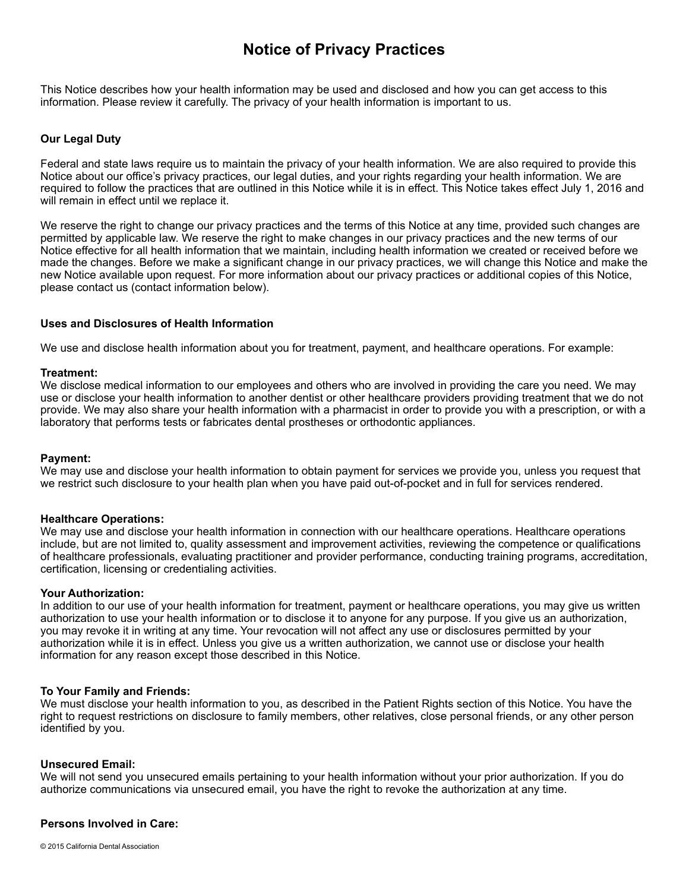# **Notice of Privacy Practices**

This Notice describes how your health information may be used and disclosed and how you can get access to this information. Please review it carefully. The privacy of your health information is important to us.

## **Our Legal Duty**

Federal and state laws require us to maintain the privacy of your health information. We are also required to provide this Notice about our office's privacy practices, our legal duties, and your rights regarding your health information. We are required to follow the practices that are outlined in this Notice while it is in effect. This Notice takes effect July 1, 2016 and will remain in effect until we replace it.

We reserve the right to change our privacy practices and the terms of this Notice at any time, provided such changes are permitted by applicable law. We reserve the right to make changes in our privacy practices and the new terms of our Notice effective for all health information that we maintain, including health information we created or received before we made the changes. Before we make a significant change in our privacy practices, we will change this Notice and make the new Notice available upon request. For more information about our privacy practices or additional copies of this Notice, please contact us (contact information below).

#### **Uses and Disclosures of Health Information**

We use and disclose health information about you for treatment, payment, and healthcare operations. For example:

#### **Treatment:**

We disclose medical information to our employees and others who are involved in providing the care you need. We may use or disclose your health information to another dentist or other healthcare providers providing treatment that we do not provide. We may also share your health information with a pharmacist in order to provide you with a prescription, or with a laboratory that performs tests or fabricates dental prostheses or orthodontic appliances.

#### **Payment:**

We may use and disclose your health information to obtain payment for services we provide you, unless you request that we restrict such disclosure to your health plan when you have paid out-of-pocket and in full for services rendered.

#### **Healthcare Operations:**

We may use and disclose your health information in connection with our healthcare operations. Healthcare operations include, but are not limited to, quality assessment and improvement activities, reviewing the competence or qualifications of healthcare professionals, evaluating practitioner and provider performance, conducting training programs, accreditation, certification, licensing or credentialing activities.

#### **Your Authorization:**

In addition to our use of your health information for treatment, payment or healthcare operations, you may give us written authorization to use your health information or to disclose it to anyone for any purpose. If you give us an authorization, you may revoke it in writing at any time. Your revocation will not affect any use or disclosures permitted by your authorization while it is in effect. Unless you give us a written authorization, we cannot use or disclose your health information for any reason except those described in this Notice.

#### **To Your Family and Friends:**

We must disclose your health information to you, as described in the Patient Rights section of this Notice. You have the right to request restrictions on disclosure to family members, other relatives, close personal friends, or any other person identified by you.

#### **Unsecured Email:**

We will not send you unsecured emails pertaining to your health information without your prior authorization. If you do authorize communications via unsecured email, you have the right to revoke the authorization at any time.

#### **Persons Involved in Care:**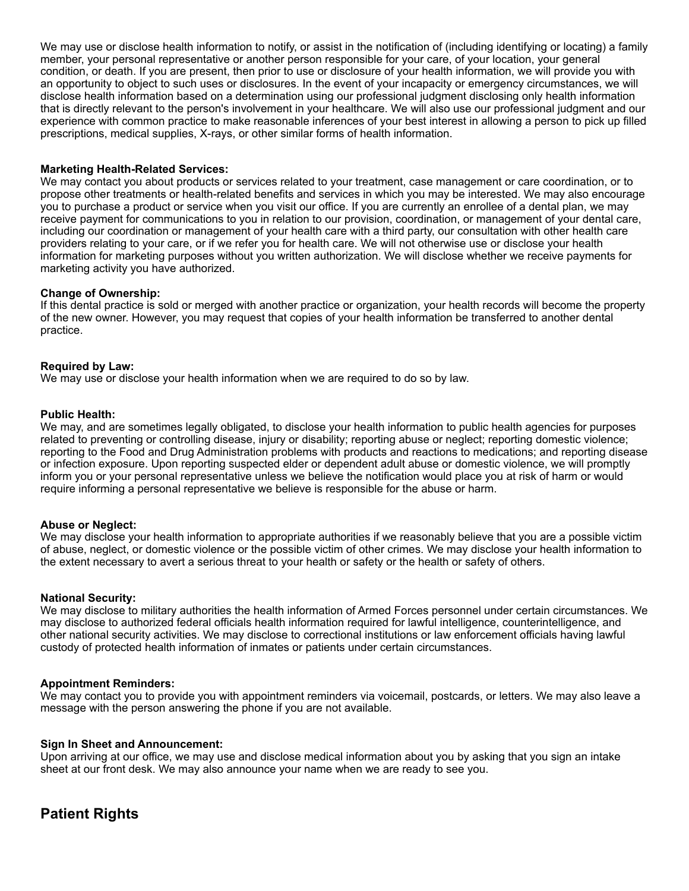We may use or disclose health information to notify, or assist in the notification of (including identifying or locating) a family member, your personal representative or another person responsible for your care, of your location, your general condition, or death. If you are present, then prior to use or disclosure of your health information, we will provide you with an opportunity to object to such uses or disclosures. In the event of your incapacity or emergency circumstances, we will disclose health information based on a determination using our professional judgment disclosing only health information that is directly relevant to the person's involvement in your healthcare. We will also use our professional judgment and our experience with common practice to make reasonable inferences of your best interest in allowing a person to pick up filled prescriptions, medical supplies, X-rays, or other similar forms of health information.

## **Marketing Health-Related Services:**

We may contact you about products or services related to your treatment, case management or care coordination, or to propose other treatments or health-related benefits and services in which you may be interested. We may also encourage you to purchase a product or service when you visit our office. If you are currently an enrollee of a dental plan, we may receive payment for communications to you in relation to our provision, coordination, or management of your dental care, including our coordination or management of your health care with a third party, our consultation with other health care providers relating to your care, or if we refer you for health care. We will not otherwise use or disclose your health information for marketing purposes without you written authorization. We will disclose whether we receive payments for marketing activity you have authorized.

## **Change of Ownership:**

If this dental practice is sold or merged with another practice or organization, your health records will become the property of the new owner. However, you may request that copies of your health information be transferred to another dental practice.

## **Required by Law:**

We may use or disclose your health information when we are required to do so by law.

## **Public Health:**

We may, and are sometimes legally obligated, to disclose your health information to public health agencies for purposes related to preventing or controlling disease, injury or disability; reporting abuse or neglect; reporting domestic violence; reporting to the Food and Drug Administration problems with products and reactions to medications; and reporting disease or infection exposure. Upon reporting suspected elder or dependent adult abuse or domestic violence, we will promptly inform you or your personal representative unless we believe the notification would place you at risk of harm or would require informing a personal representative we believe is responsible for the abuse or harm.

## **Abuse or Neglect:**

We may disclose your health information to appropriate authorities if we reasonably believe that you are a possible victim of abuse, neglect, or domestic violence or the possible victim of other crimes. We may disclose your health information to the extent necessary to avert a serious threat to your health or safety or the health or safety of others.

## **National Security:**

We may disclose to military authorities the health information of Armed Forces personnel under certain circumstances. We may disclose to authorized federal officials health information required for lawful intelligence, counterintelligence, and other national security activities. We may disclose to correctional institutions or law enforcement officials having lawful custody of protected health information of inmates or patients under certain circumstances.

## **Appointment Reminders:**

We may contact you to provide you with appointment reminders via voicemail, postcards, or letters. We may also leave a message with the person answering the phone if you are not available.

## **Sign In Sheet and Announcement:**

Upon arriving at our office, we may use and disclose medical information about you by asking that you sign an intake sheet at our front desk. We may also announce your name when we are ready to see you.

## **Patient Rights**